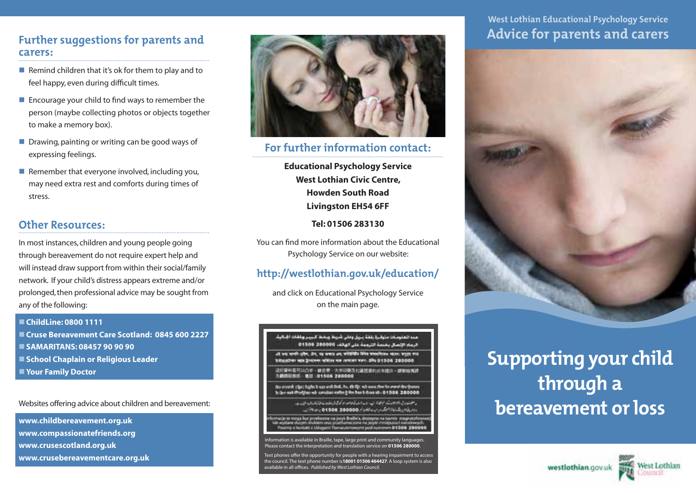### Further suggestions for parents and carers:

- Remind children that it's ok for them to play and to feel happy, even during difficult times.
- $\blacksquare$  Encourage your child to find ways to remember the person (maybe collecting photos or objects together to make a memory box).
- $\blacksquare$  Drawing, painting or writing can be good ways of expressing feelings.
- $\blacksquare$  Remember that everyone involved, including you, may need extra rest and comforts during times of stress.

# Other Resources:

In most instances, children and young people going through bereavement do not require expert help and will instead draw support from within their social/family network. If your child's distress appears extreme and/or prolonged, then professional advice may be sought from any of the following:

#### n **ChildLine: 0800 1111**

- Cruse Bereavement Care Scotland: 0845 600 2227 n **SAMARITANS: 08457 90 90 90**  $\blacksquare$  **School Chaplain or Religious Leader**
- **Nour Family Doctor**

### Websites offering advice about children and bereavement:

**www.childbereavement.org.uk www.compassionatefriends.org www.crusescotland.org.uk www.crusebereavementcare.org.uk**



## For further information contact:

**Educational Psychology Service West Lothian Civic Centre, Howden South Road Livingston EH54 6FF**

### **Tel: 01506 283130**

You can find more information about the Educational Psychology Service on our website:

### http://westlothian.gov.uk/education/

and click on Educational Psychology Service on the main page.



Text phones offer the opportunity for people with a hearing impairment to access the council. The text phone number is**18001 01506 464427**. A loop system is also available in all offices. *Published by West Lothian Council.*

# West Lothian Educational Psychology Service Advice for parents and carers



# Supporting your child through a bereavement or loss